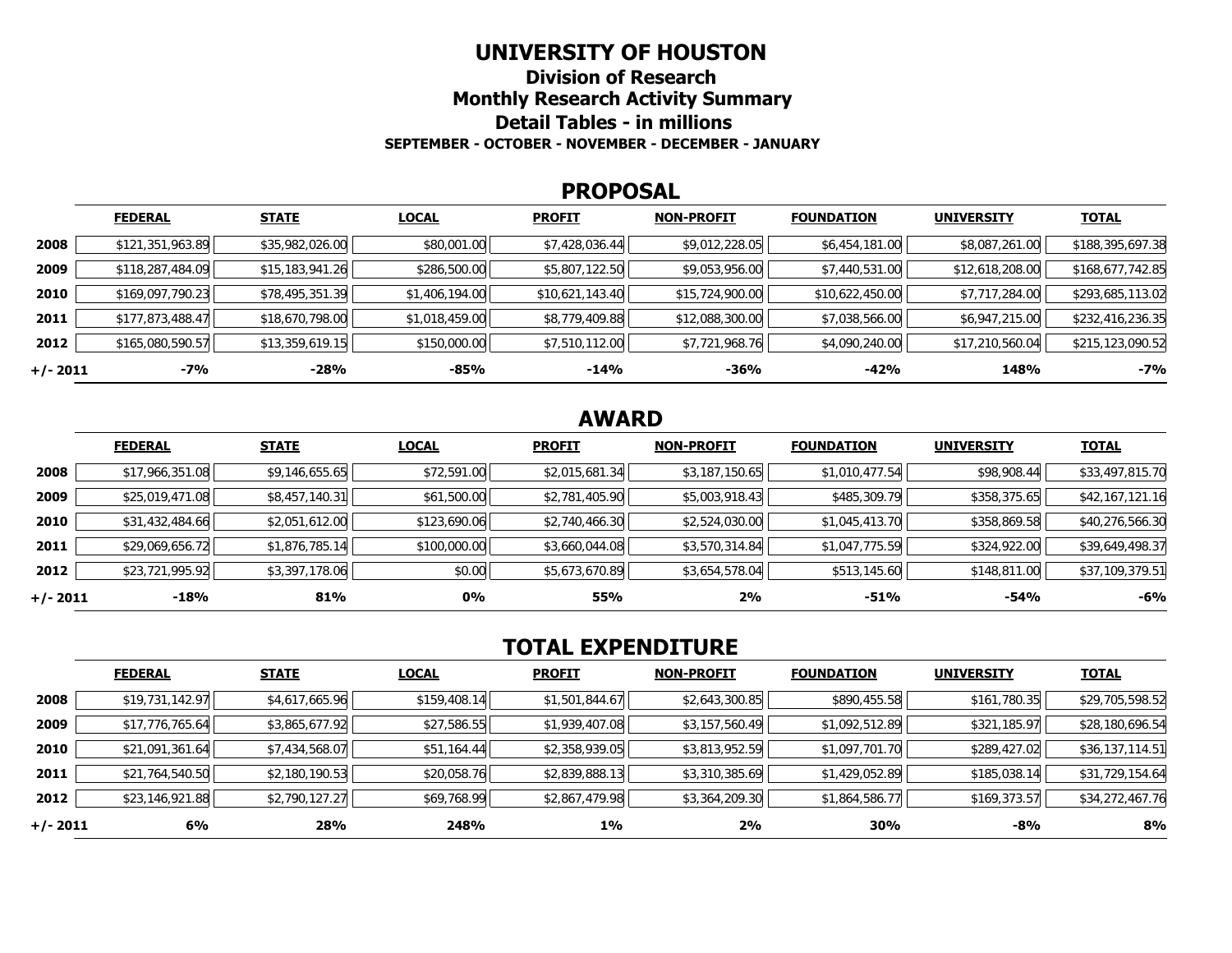#### **UNIVERSITY OF HOUSTON**

**Division of Research Monthly Research Activity Summary Detail Tables - in millions SEPTEMBER - OCTOBER - NOVEMBER - DECEMBER - JANUARY** 

#### **PROPOSAL**

|            | <b>FEDERAL</b>   | <b>STATE</b>    | <b>LOCAL</b>   | <b>PROFIT</b>   | <b>NON-PROFIT</b> | <b>FOUNDATION</b> | <b>UNIVERSITY</b> | <b>TOTAL</b>     |
|------------|------------------|-----------------|----------------|-----------------|-------------------|-------------------|-------------------|------------------|
| 2008       | \$121,351,963.89 | \$35,982,026.00 | \$80,001.00    | \$7,428,036.44  | \$9,012,228.05    | \$6,454,181.00    | \$8,087,261.00    | \$188,395,697.38 |
| 2009       | \$118,287,484.09 | \$15,183,941.26 | \$286,500.00   | \$5,807,122.50  | \$9,053,956.00    | \$7,440,531.00    | \$12,618,208.00   | \$168,677,742.85 |
| 2010       | \$169,097,790.23 | \$78,495,351.39 | \$1,406,194.00 | \$10,621,143.40 | \$15,724,900.00   | \$10,622,450.00   | \$7,717,284.00    | \$293,685,113.02 |
| 2011       | \$177,873,488.47 | \$18,670,798.00 | \$1,018,459.00 | \$8,779,409.88  | \$12,088,300.00   | \$7,038,566.00    | \$6,947,215.00    | \$232,416,236.35 |
| 2012       | \$165,080,590.57 | \$13,359,619.15 | \$150,000.00   | \$7,510,112.00  | \$7,721,968.76    | \$4,090,240.00    | \$17,210,560.04   | \$215,123,090.52 |
| $+/- 2011$ | -7%              | $-28%$          | $-85%$         | $-14%$          | -36%              | $-42%$            | 148%              | $-7%$            |

# **AWARD**

|          | <b>FEDERAL</b>  | <b>STATE</b>   | <b>LOCAL</b> | <b>PROFIT</b>  | <b>NON-PROFIT</b> | <b>FOUNDATION</b> | <b>UNIVERSITY</b> | <b>TOTAL</b>    |
|----------|-----------------|----------------|--------------|----------------|-------------------|-------------------|-------------------|-----------------|
| 2008     | \$17,966,351.08 | \$9,146,655.65 | \$72,591.00  | \$2,015,681.34 | \$3,187,150.65    | \$1,010,477.54    | \$98,908.44       | \$33,497,815.70 |
| 2009     | \$25,019,471.08 | \$8,457,140.31 | \$61,500.00  | \$2,781,405.90 | \$5,003,918.43    | \$485,309.79      | \$358,375.65      | \$42,167,121.16 |
| 2010     | \$31,432,484.66 | \$2,051,612.00 | \$123,690.06 | \$2,740,466.30 | \$2,524,030.00    | \$1,045,413.70    | \$358,869.58      | \$40,276,566.30 |
| 2011     | \$29,069,656.72 | \$1,876,785.14 | \$100,000.00 | \$3,660,044.08 | \$3,570,314.84    | \$1,047,775.59    | \$324,922.00      | \$39,649,498.37 |
| 2012     | \$23,721,995.92 | \$3,397,178.06 | \$0.00       | \$5,673,670.89 | \$3,654,578.04    | \$513,145.60      | \$148,811.00      | \$37,109,379.51 |
| +/- 2011 | -18%            | 81%            | 0%           | 55%            | 2%                | $-51%$            | $-54%$            | $-6%$           |

# **TOTAL EXPENDITURE**

|          | <b>FEDERAL</b>  | <b>STATE</b>   | <b>LOCAL</b> | <b>PROFIT</b>  | <b>NON-PROFIT</b> | <b>FOUNDATION</b> | <b>UNIVERSITY</b> | <b>TOTAL</b>    |
|----------|-----------------|----------------|--------------|----------------|-------------------|-------------------|-------------------|-----------------|
| 2008     | \$19,731,142.97 | \$4,617,665.96 | \$159,408.14 | \$1,501,844.67 | \$2,643,300.85    | \$890,455.58      | \$161,780.35      | \$29,705,598.52 |
| 2009     | \$17,776,765.64 | \$3,865,677.92 | \$27,586.55  | \$1,939,407.08 | \$3,157,560.49    | \$1,092,512.89    | \$321,185.97      | \$28,180,696.54 |
| 2010     | \$21,091,361.64 | \$7,434,568.07 | \$51,164.44  | \$2,358,939.05 | \$3,813,952.59    | \$1,097,701.70    | \$289,427.02      | \$36,137,114.51 |
| 2011     | \$21,764,540.50 | \$2,180,190.53 | \$20,058.76  | \$2,839,888.13 | \$3,310,385.69    | \$1,429,052.89    | \$185,038.14      | \$31,729,154.64 |
| 2012     | \$23,146,921.88 | \$2,790,127.27 | \$69,768.99  | \$2,867,479.98 | \$3,364,209.30    | \$1,864,586.77    | \$169,373.57      | \$34,272,467.76 |
| +/- 2011 | 6%              | 28%            | 248%         | $1\%$          | 2%                | 30%               | -8%               | 8%              |